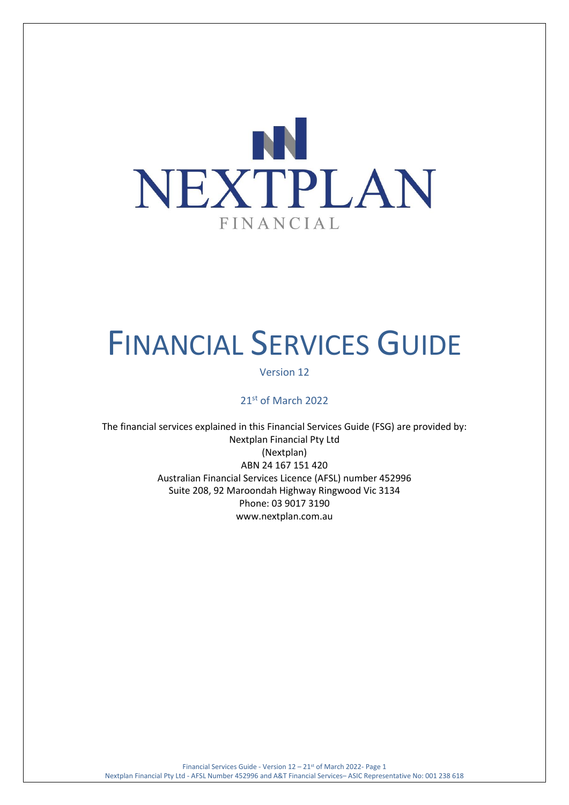

# FINANCIAL SERVICES GUIDE

#### Version 12

# 21st of March 2022

The financial services explained in this Financial Services Guide (FSG) are provided by: Nextplan Financial Pty Ltd (Nextplan) ABN 24 167 151 420 Australian Financial Services Licence (AFSL) number 452996 Suite 208, 92 Maroondah Highway Ringwood Vic 3134 Phone: 03 9017 3190 [www.nextplan.com.au](http://www.nextplan.com.au/)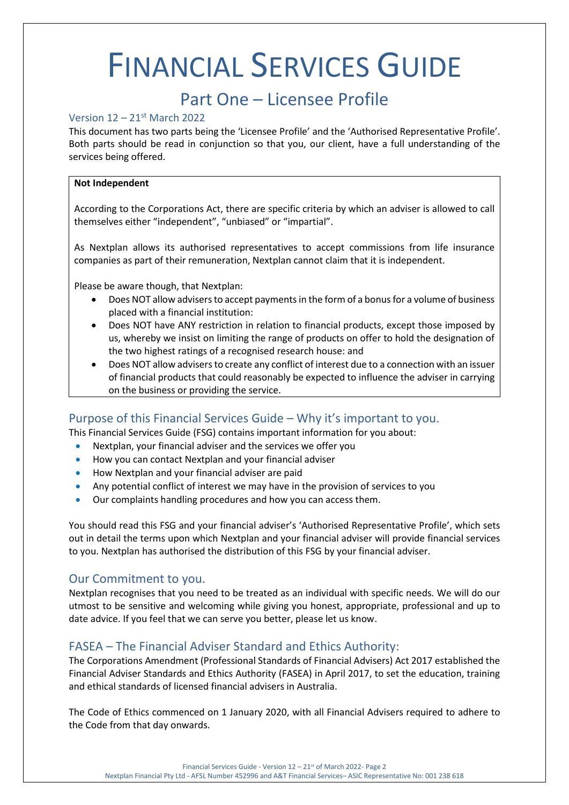# FINANCIAL SERVICES GUIDE

# Part One – Licensee Profile

#### Version 12 – 21st March 2022

This document has two parts being the 'Licensee Profile' and the 'Authorised Representative Profile'. Both parts should be read in conjunction so that you, our client, have a full understanding of the services being offered.

#### **Not Independent**

According to the Corporations Act, there are specific criteria by which an adviser is allowed to call themselves either "independent", "unbiased" or "impartial".

As Nextplan allows its authorised representatives to accept commissions from life insurance companies as part of their remuneration, Nextplan cannot claim that it is independent.

Please be aware though, that Nextplan:

- Does NOT allow advisers to accept payments in the form of a bonus for a volume of business placed with a financial institution:
- Does NOT have ANY restriction in relation to financial products, except those imposed by us, whereby we insist on limiting the range of products on offer to hold the designation of the two highest ratings of a recognised research house: and
- Does NOT allow advisers to create any conflict of interest due to a connection with an issuer of financial products that could reasonably be expected to influence the adviser in carrying on the business or providing the service.

# Purpose of this Financial Services Guide – Why it's important to you.

This Financial Services Guide (FSG) contains important information for you about:

- Nextplan, your financial adviser and the services we offer you
- How you can contact Nextplan and your financial adviser
- How Nextplan and your financial adviser are paid
- Any potential conflict of interest we may have in the provision of services to you
- Our complaints handling procedures and how you can access them.

You should read this FSG and your financial adviser's 'Authorised Representative Profile', which sets out in detail the terms upon which Nextplan and your financial adviser will provide financial services to you. Nextplan has authorised the distribution of this FSG by your financial adviser.

### Our Commitment to you.

Nextplan recognises that you need to be treated as an individual with specific needs. We will do our utmost to be sensitive and welcoming while giving you honest, appropriate, professional and up to date advice. If you feel that we can serve you better, please let us know.

# FASEA – The Financial Adviser Standard and Ethics Authority:

The Corporations Amendment (Professional Standards of Financial Advisers) Act 2017 established the Financial Adviser Standards and Ethics Authority (FASEA) in April 2017, to set the education, training and ethical standards of licensed financial advisers in Australia.

The Code of Ethics commenced on 1 January 2020, with all Financial Advisers required to adhere to the Code from that day onwards.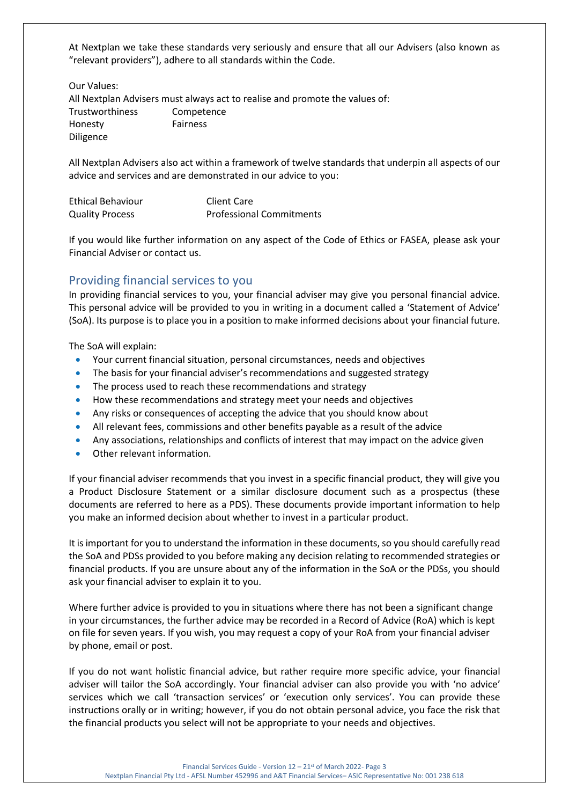At Nextplan we take these standards very seriously and ensure that all our Advisers (also known as "relevant providers"), adhere to all standards within the Code.

Our Values:

All Nextplan Advisers must always act to realise and promote the values of: Trustworthiness Competence Honesty Fairness Diligence

All Nextplan Advisers also act within a framework of twelve standards that underpin all aspects of our advice and services and are demonstrated in our advice to you:

| <b>Ethical Behaviour</b> | Client Care                     |
|--------------------------|---------------------------------|
| <b>Quality Process</b>   | <b>Professional Commitments</b> |

If you would like further information on any aspect of the Code of Ethics or FASEA, please ask your Financial Adviser or contact us.

# Providing financial services to you

In providing financial services to you, your financial adviser may give you personal financial advice. This personal advice will be provided to you in writing in a document called a 'Statement of Advice' (SoA). Its purpose is to place you in a position to make informed decisions about your financial future.

The SoA will explain:

- Your current financial situation, personal circumstances, needs and objectives
- The basis for your financial adviser's recommendations and suggested strategy
- The process used to reach these recommendations and strategy
- How these recommendations and strategy meet your needs and objectives
- Any risks or consequences of accepting the advice that you should know about
- All relevant fees, commissions and other benefits payable as a result of the advice
- Any associations, relationships and conflicts of interest that may impact on the advice given
- Other relevant information.

If your financial adviser recommends that you invest in a specific financial product, they will give you a Product Disclosure Statement or a similar disclosure document such as a prospectus (these documents are referred to here as a PDS). These documents provide important information to help you make an informed decision about whether to invest in a particular product.

It is important for you to understand the information in these documents, so you should carefully read the SoA and PDSs provided to you before making any decision relating to recommended strategies or financial products. If you are unsure about any of the information in the SoA or the PDSs, you should ask your financial adviser to explain it to you.

Where further advice is provided to you in situations where there has not been a significant change in your circumstances, the further advice may be recorded in a Record of Advice (RoA) which is kept on file for seven years. If you wish, you may request a copy of your RoA from your financial adviser by phone, email or post.

If you do not want holistic financial advice, but rather require more specific advice, your financial adviser will tailor the SoA accordingly. Your financial adviser can also provide you with 'no advice' services which we call 'transaction services' or 'execution only services'. You can provide these instructions orally or in writing; however, if you do not obtain personal advice, you face the risk that the financial products you select will not be appropriate to your needs and objectives.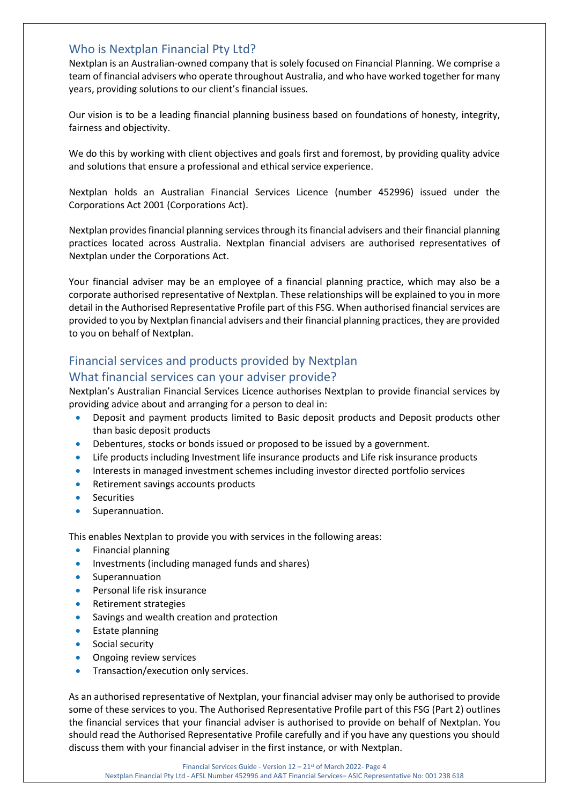### Who is Nextplan Financial Pty Ltd?

Nextplan is an Australian-owned company that is solely focused on Financial Planning. We comprise a team of financial advisers who operate throughout Australia, and who have worked together for many years, providing solutions to our client's financial issues.

Our vision is to be a leading financial planning business based on foundations of honesty, integrity, fairness and objectivity.

We do this by working with client objectives and goals first and foremost, by providing quality advice and solutions that ensure a professional and ethical service experience.

Nextplan holds an Australian Financial Services Licence (number 452996) issued under the Corporations Act 2001 (Corporations Act).

Nextplan provides financial planning services through its financial advisers and their financial planning practices located across Australia. Nextplan financial advisers are authorised representatives of Nextplan under the Corporations Act.

Your financial adviser may be an employee of a financial planning practice, which may also be a corporate authorised representative of Nextplan. These relationships will be explained to you in more detail in the Authorised Representative Profile part of this FSG. When authorised financial services are provided to you by Nextplan financial advisers and their financial planning practices, they are provided to you on behalf of Nextplan.

# Financial services and products provided by Nextplan

# What financial services can your adviser provide?

Nextplan's Australian Financial Services Licence authorises Nextplan to provide financial services by providing advice about and arranging for a person to deal in:

- Deposit and payment products limited to Basic deposit products and Deposit products other than basic deposit products
- Debentures, stocks or bonds issued or proposed to be issued by a government.
- Life products including Investment life insurance products and Life risk insurance products
- Interests in managed investment schemes including investor directed portfolio services
- Retirement savings accounts products
- **Securities**
- Superannuation.

This enables Nextplan to provide you with services in the following areas:

- Financial planning
- Investments (including managed funds and shares)
- **Superannuation**
- Personal life risk insurance
- Retirement strategies
- Savings and wealth creation and protection
- Estate planning
- Social security
- Ongoing review services
- Transaction/execution only services.

As an authorised representative of Nextplan, your financial adviser may only be authorised to provide some of these services to you. The Authorised Representative Profile part of this FSG (Part 2) outlines the financial services that your financial adviser is authorised to provide on behalf of Nextplan. You should read the Authorised Representative Profile carefully and if you have any questions you should discuss them with your financial adviser in the first instance, or with Nextplan.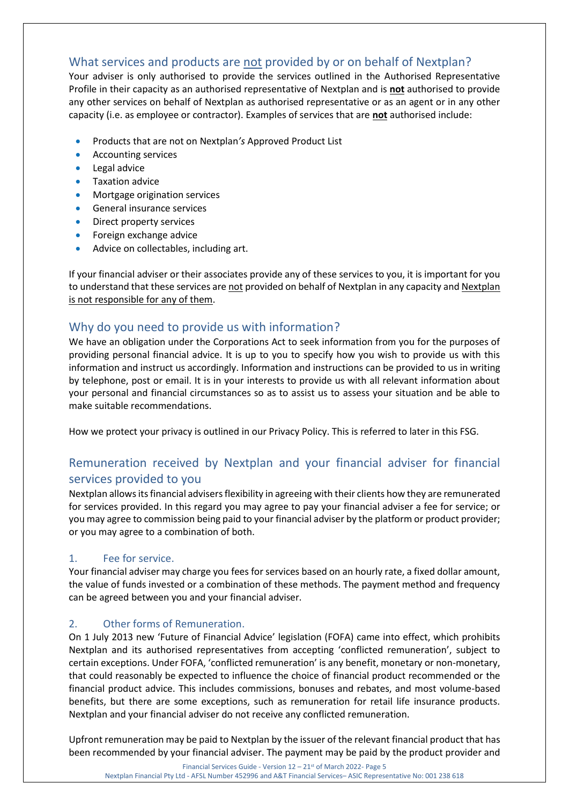# What services and products are not provided by or on behalf of Nextplan?

Your adviser is only authorised to provide the services outlined in the Authorised Representative Profile in their capacity as an authorised representative of Nextplan and is **not** authorised to provide any other services on behalf of Nextplan as authorised representative or as an agent or in any other capacity (i.e. as employee or contractor). Examples of services that are **not** authorised include:

- Products that are not on Nextplan*'s* Approved Product List
- Accounting services
- Legal advice
- Taxation advice
- Mortgage origination services
- General insurance services
- Direct property services
- Foreign exchange advice
- Advice on collectables, including art.

If your financial adviser or their associates provide any of these services to you, it is important for you to understand that these services are not provided on behalf of Nextplan in any capacity and Nextplan is not responsible for any of them.

# Why do you need to provide us with information?

We have an obligation under the Corporations Act to seek information from you for the purposes of providing personal financial advice. It is up to you to specify how you wish to provide us with this information and instruct us accordingly. Information and instructions can be provided to us in writing by telephone, post or email. It is in your interests to provide us with all relevant information about your personal and financial circumstances so as to assist us to assess your situation and be able to make suitable recommendations.

How we protect your privacy is outlined in our Privacy Policy. This is referred to later in this FSG.

# Remuneration received by Nextplan and your financial adviser for financial services provided to you

Nextplan allows its financial advisers flexibility in agreeing with their clients how they are remunerated for services provided. In this regard you may agree to pay your financial adviser a fee for service; or you may agree to commission being paid to your financial adviser by the platform or product provider; or you may agree to a combination of both.

### 1. Fee for service.

Your financial adviser may charge you fees for services based on an hourly rate, a fixed dollar amount, the value of funds invested or a combination of these methods. The payment method and frequency can be agreed between you and your financial adviser.

### 2. Other forms of Remuneration.

On 1 July 2013 new 'Future of Financial Advice' legislation (FOFA) came into effect, which prohibits Nextplan and its authorised representatives from accepting 'conflicted remuneration', subject to certain exceptions. Under FOFA, 'conflicted remuneration' is any benefit, monetary or non-monetary, that could reasonably be expected to influence the choice of financial product recommended or the financial product advice. This includes commissions, bonuses and rebates, and most volume-based benefits, but there are some exceptions, such as remuneration for retail life insurance products. Nextplan and your financial adviser do not receive any conflicted remuneration.

Upfront remuneration may be paid to Nextplan by the issuer of the relevant financial product that has been recommended by your financial adviser. The payment may be paid by the product provider and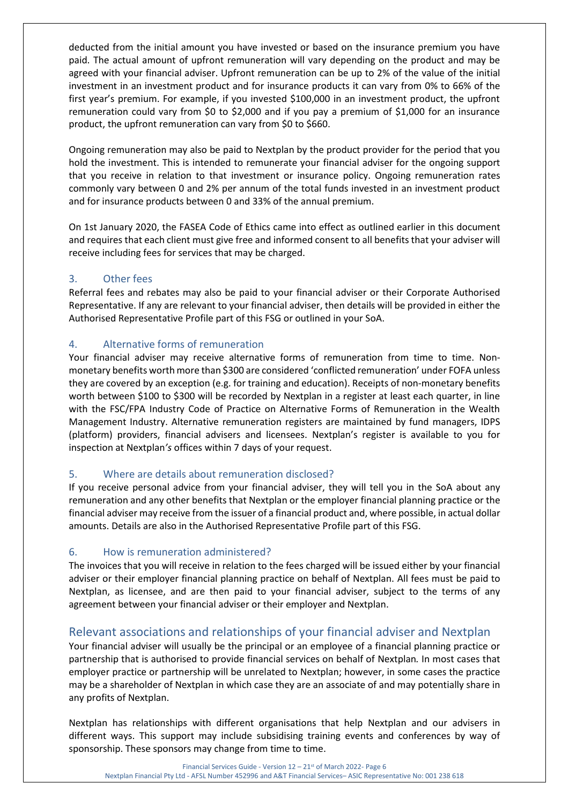deducted from the initial amount you have invested or based on the insurance premium you have paid. The actual amount of upfront remuneration will vary depending on the product and may be agreed with your financial adviser. Upfront remuneration can be up to 2% of the value of the initial investment in an investment product and for insurance products it can vary from 0% to 66% of the first year's premium. For example, if you invested \$100,000 in an investment product, the upfront remuneration could vary from \$0 to \$2,000 and if you pay a premium of \$1,000 for an insurance product, the upfront remuneration can vary from \$0 to \$660.

Ongoing remuneration may also be paid to Nextplan by the product provider for the period that you hold the investment. This is intended to remunerate your financial adviser for the ongoing support that you receive in relation to that investment or insurance policy. Ongoing remuneration rates commonly vary between 0 and 2% per annum of the total funds invested in an investment product and for insurance products between 0 and 33% of the annual premium.

On 1st January 2020, the FASEA Code of Ethics came into effect as outlined earlier in this document and requires that each client must give free and informed consent to all benefits that your adviser will receive including fees for services that may be charged.

### 3. Other fees

Referral fees and rebates may also be paid to your financial adviser or their Corporate Authorised Representative. If any are relevant to your financial adviser, then details will be provided in either the Authorised Representative Profile part of this FSG or outlined in your SoA.

# 4. Alternative forms of remuneration

Your financial adviser may receive alternative forms of remuneration from time to time. Nonmonetary benefits worth more than \$300 are considered 'conflicted remuneration' under FOFA unless they are covered by an exception (e.g. for training and education). Receipts of non-monetary benefits worth between \$100 to \$300 will be recorded by Nextplan in a register at least each quarter, in line with the FSC/FPA Industry Code of Practice on Alternative Forms of Remuneration in the Wealth Management Industry. Alternative remuneration registers are maintained by fund managers, IDPS (platform) providers, financial advisers and licensees. Nextplan's register is available to you for inspection at Nextplan*'s* offices within 7 days of your request.

### 5. Where are details about remuneration disclosed?

If you receive personal advice from your financial adviser, they will tell you in the SoA about any remuneration and any other benefits that Nextplan or the employer financial planning practice or the financial adviser may receive from the issuer of a financial product and, where possible, in actual dollar amounts. Details are also in the Authorised Representative Profile part of this FSG.

### 6. How is remuneration administered?

The invoices that you will receive in relation to the fees charged will be issued either by your financial adviser or their employer financial planning practice on behalf of Nextplan. All fees must be paid to Nextplan, as licensee, and are then paid to your financial adviser, subject to the terms of any agreement between your financial adviser or their employer and Nextplan.

# Relevant associations and relationships of your financial adviser and Nextplan

Your financial adviser will usually be the principal or an employee of a financial planning practice or partnership that is authorised to provide financial services on behalf of Nextplan*.* In most cases that employer practice or partnership will be unrelated to Nextplan; however, in some cases the practice may be a shareholder of Nextplan in which case they are an associate of and may potentially share in any profits of Nextplan.

Nextplan has relationships with different organisations that help Nextplan and our advisers in different ways. This support may include subsidising training events and conferences by way of sponsorship. These sponsors may change from time to time.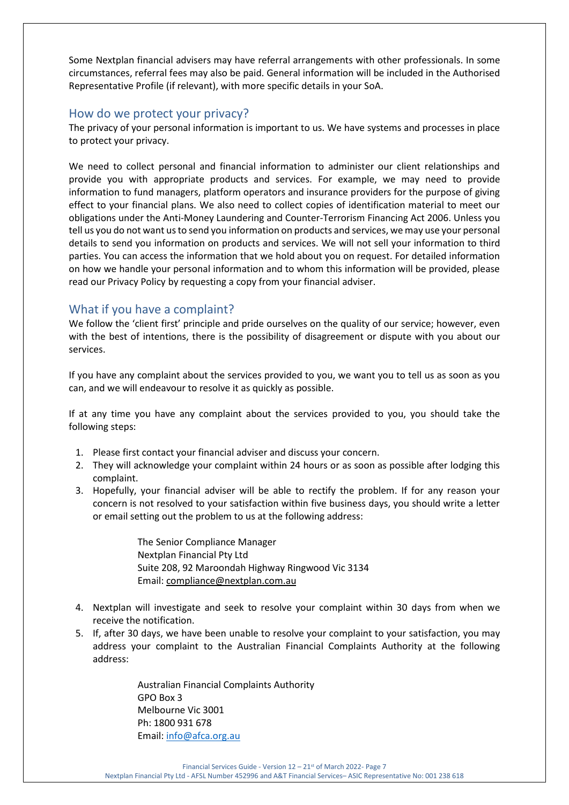Some Nextplan financial advisers may have referral arrangements with other professionals. In some circumstances, referral fees may also be paid. General information will be included in the Authorised Representative Profile (if relevant), with more specific details in your SoA.

## How do we protect your privacy?

The privacy of your personal information is important to us. We have systems and processes in place to protect your privacy.

We need to collect personal and financial information to administer our client relationships and provide you with appropriate products and services. For example, we may need to provide information to fund managers, platform operators and insurance providers for the purpose of giving effect to your financial plans. We also need to collect copies of identification material to meet our obligations under the Anti-Money Laundering and Counter-Terrorism Financing Act 2006. Unless you tell us you do not want us to send you information on products and services, we may use your personal details to send you information on products and services. We will not sell your information to third parties. You can access the information that we hold about you on request. For detailed information on how we handle your personal information and to whom this information will be provided, please read our Privacy Policy by requesting a copy from your financial adviser.

# What if you have a complaint?

We follow the 'client first' principle and pride ourselves on the quality of our service; however, even with the best of intentions, there is the possibility of disagreement or dispute with you about our services.

If you have any complaint about the services provided to you, we want you to tell us as soon as you can, and we will endeavour to resolve it as quickly as possible.

If at any time you have any complaint about the services provided to you, you should take the following steps:

- 1. Please first contact your financial adviser and discuss your concern.
- 2. They will acknowledge your complaint within 24 hours or as soon as possible after lodging this complaint.
- 3. Hopefully, your financial adviser will be able to rectify the problem. If for any reason your concern is not resolved to your satisfaction within five business days, you should write a letter or email setting out the problem to us at the following address:

The Senior Compliance Manager Nextplan Financial Pty Ltd Suite 208, 92 Maroondah Highway Ringwood Vic 3134 Email: [compliance@nextplan.com.au](mailto:compliance@nextplan.com.au)

- 4. Nextplan will investigate and seek to resolve your complaint within 30 days from when we receive the notification.
- 5. If, after 30 days, we have been unable to resolve your complaint to your satisfaction, you may address your complaint to the Australian Financial Complaints Authority at the following address:

Australian Financial Complaints Authority GPO Box 3 Melbourne Vic 3001 Ph: 1800 931 678 Email: [info@afca.org.au](mailto:info@afca.org.au)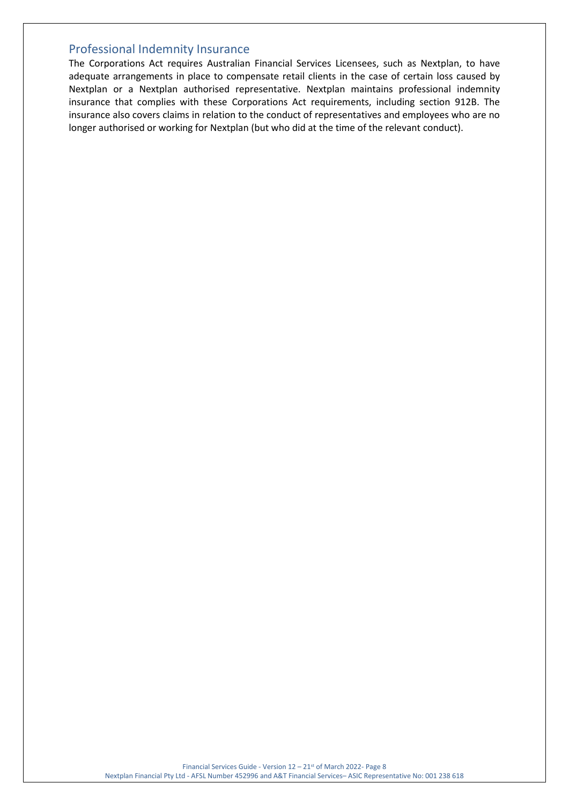## Professional Indemnity Insurance

The Corporations Act requires Australian Financial Services Licensees, such as Nextplan, to have adequate arrangements in place to compensate retail clients in the case of certain loss caused by Nextplan or a Nextplan authorised representative. Nextplan maintains professional indemnity insurance that complies with these Corporations Act requirements, including section 912B. The insurance also covers claims in relation to the conduct of representatives and employees who are no longer authorised or working for Nextplan (but who did at the time of the relevant conduct).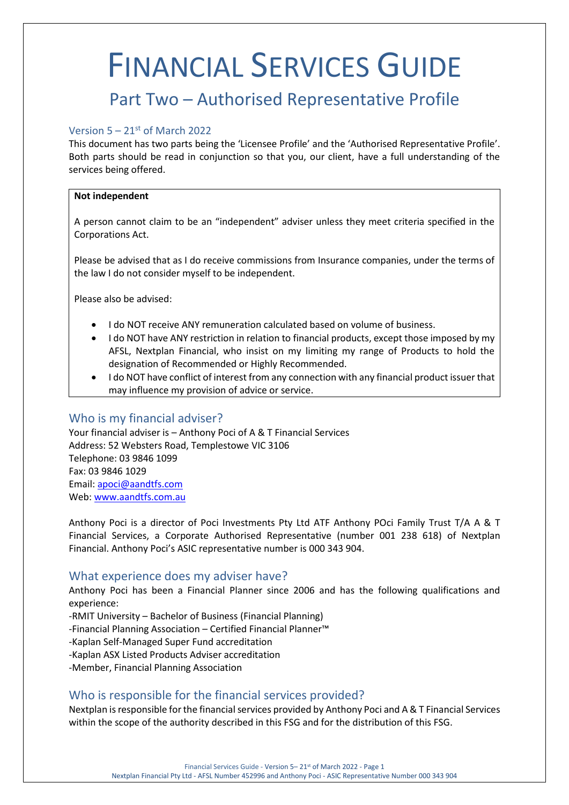# FINANCIAL SERVICES GUIDE

# Part Two – Authorised Representative Profile

#### Version  $5 - 21$ <sup>st</sup> of March 2022

This document has two parts being the 'Licensee Profile' and the 'Authorised Representative Profile'. Both parts should be read in conjunction so that you, our client, have a full understanding of the services being offered.

#### **Not independent**

A person cannot claim to be an "independent" adviser unless they meet criteria specified in the Corporations Act.

Please be advised that as I do receive commissions from Insurance companies, under the terms of the law I do not consider myself to be independent.

Please also be advised:

- I do NOT receive ANY remuneration calculated based on volume of business.
- I do NOT have ANY restriction in relation to financial products, except those imposed by my AFSL, Nextplan Financial, who insist on my limiting my range of Products to hold the designation of Recommended or Highly Recommended.
- I do NOT have conflict of interest from any connection with any financial product issuer that may influence my provision of advice or service.

#### Who is my financial adviser?

Your financial adviser is – Anthony Poci of A & T Financial Services Address: 52 Websters Road, Templestowe VIC 3106 Telephone: 03 9846 1099 Fax: 03 9846 1029 Email: [apoci@aandtfs.com](mailto:apoci@aandtfs.com) Web[: www.aandtfs.com.au](http://www.aandtfs.com.au/)

Anthony Poci is a director of Poci Investments Pty Ltd ATF Anthony POci Family Trust T/A A & T Financial Services, a Corporate Authorised Representative (number 001 238 618) of Nextplan Financial. Anthony Poci's ASIC representative number is 000 343 904.

#### What experience does my adviser have?

Anthony Poci has been a Financial Planner since 2006 and has the following qualifications and experience:

-RMIT University – Bachelor of Business (Financial Planning)

-Financial Planning Association – Certified Financial Planner™

- -Kaplan Self-Managed Super Fund accreditation
- -Kaplan ASX Listed Products Adviser accreditation

-Member, Financial Planning Association

### Who is responsible for the financial services provided?

Nextplan is responsible for the financial services provided by Anthony Poci and A & T Financial Services within the scope of the authority described in this FSG and for the distribution of this FSG.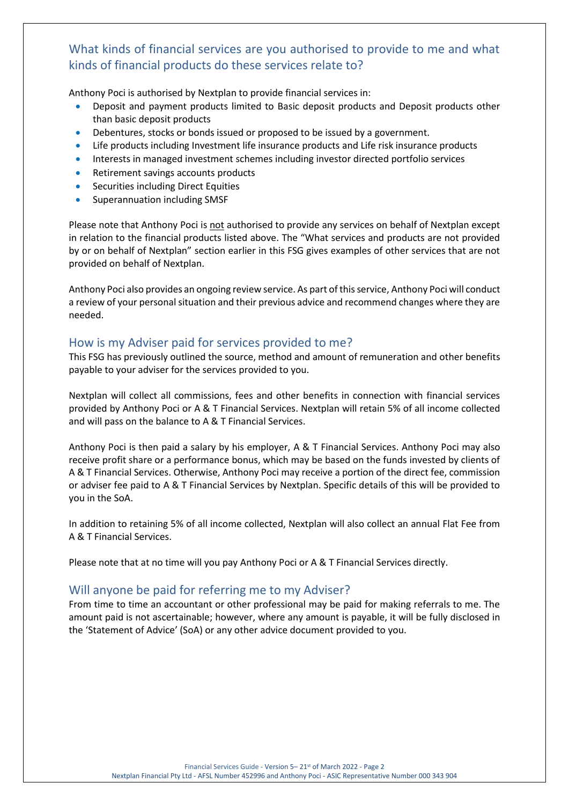# What kinds of financial services are you authorised to provide to me and what kinds of financial products do these services relate to?

Anthony Poci is authorised by Nextplan to provide financial services in:

- Deposit and payment products limited to Basic deposit products and Deposit products other than basic deposit products
- Debentures, stocks or bonds issued or proposed to be issued by a government.
- Life products including Investment life insurance products and Life risk insurance products
- Interests in managed investment schemes including investor directed portfolio services
- Retirement savings accounts products
- Securities including Direct Equities
- Superannuation including SMSF

Please note that Anthony Poci is not authorised to provide any services on behalf of Nextplan except in relation to the financial products listed above. The "What services and products are not provided by or on behalf of Nextplan" section earlier in this FSG gives examples of other services that are not provided on behalf of Nextplan.

Anthony Poci also provides an ongoing review service. As part of this service, Anthony Poci will conduct a review of your personal situation and their previous advice and recommend changes where they are needed.

# How is my Adviser paid for services provided to me?

This FSG has previously outlined the source, method and amount of remuneration and other benefits payable to your adviser for the services provided to you.

Nextplan will collect all commissions, fees and other benefits in connection with financial services provided by Anthony Poci or A & T Financial Services. Nextplan will retain 5% of all income collected and will pass on the balance to A & T Financial Services.

Anthony Poci is then paid a salary by his employer, A & T Financial Services. Anthony Poci may also receive profit share or a performance bonus, which may be based on the funds invested by clients of A & T Financial Services. Otherwise, Anthony Poci may receive a portion of the direct fee, commission or adviser fee paid to A & T Financial Services by Nextplan. Specific details of this will be provided to you in the SoA.

In addition to retaining 5% of all income collected, Nextplan will also collect an annual Flat Fee from A & T Financial Services.

Please note that at no time will you pay Anthony Poci or A & T Financial Services directly.

# Will anyone be paid for referring me to my Adviser?

From time to time an accountant or other professional may be paid for making referrals to me. The amount paid is not ascertainable; however, where any amount is payable, it will be fully disclosed in the 'Statement of Advice' (SoA) or any other advice document provided to you.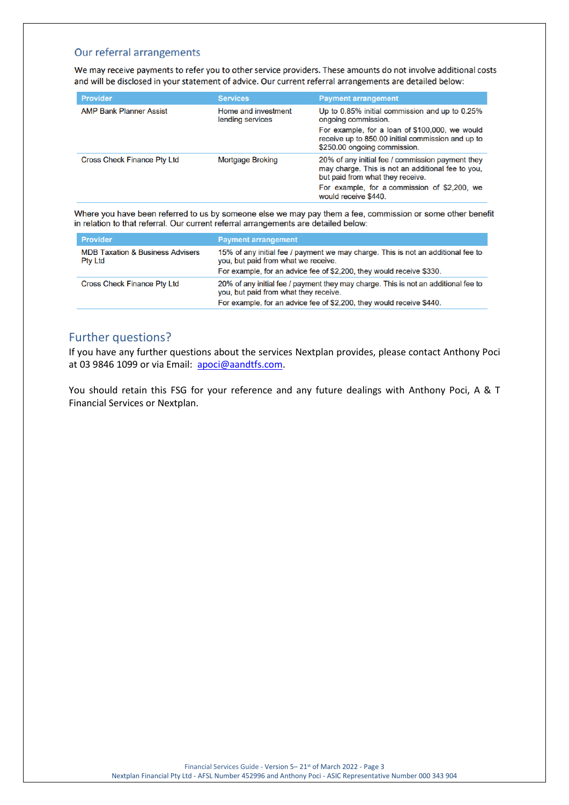#### Our referral arrangements

We may receive payments to refer you to other service providers. These amounts do not involve additional costs and will be disclosed in your statement of advice. Our current referral arrangements are detailed below:

| <b>Provider</b>                    | <b>Services</b>                         | <b>Payment arrangement</b>                                                                                                                                                                                        |
|------------------------------------|-----------------------------------------|-------------------------------------------------------------------------------------------------------------------------------------------------------------------------------------------------------------------|
| <b>AMP Bank Planner Assist</b>     | Home and investment<br>lending services | Up to 0.85% initial commission and up to 0.25%<br>ongoing commission.                                                                                                                                             |
|                                    |                                         | For example, for a loan of \$100,000, we would<br>receive up to 850.00 initial commission and up to<br>\$250.00 ongoing commission.                                                                               |
| <b>Cross Check Finance Pty Ltd</b> | <b>Mortgage Broking</b>                 | 20% of any initial fee / commission payment they<br>may charge. This is not an additional fee to you,<br>but paid from what they receive.<br>For example, for a commission of \$2,200, we<br>would receive \$440. |

Where you have been referred to us by someone else we may pay them a fee, commission or some other benefit in relation to that referral. Our current referral arrangements are detailed below:

| <b>Provider</b>                                               | <b>Payment arrangement</b>                                                                                                                                                                          |
|---------------------------------------------------------------|-----------------------------------------------------------------------------------------------------------------------------------------------------------------------------------------------------|
| <b>MDB Taxation &amp; Business Advisers</b><br><b>Pty Ltd</b> | 15% of any initial fee / payment we may charge. This is not an additional fee to<br>you, but paid from what we receive.<br>For example, for an advice fee of \$2,200, they would receive \$330.     |
| <b>Cross Check Finance Pty Ltd</b>                            | 20% of any initial fee / payment they may charge. This is not an additional fee to<br>you, but paid from what they receive.<br>For example, for an advice fee of \$2,200, they would receive \$440. |

# Further questions?

If you have any further questions about the services Nextplan provides, please contact Anthony Poci at 03 9846 1099 or via Email: [apoci@aandtfs.com.](mailto:apoci@aandtfs.com)

You should retain this FSG for your reference and any future dealings with Anthony Poci, A & T Financial Services or Nextplan.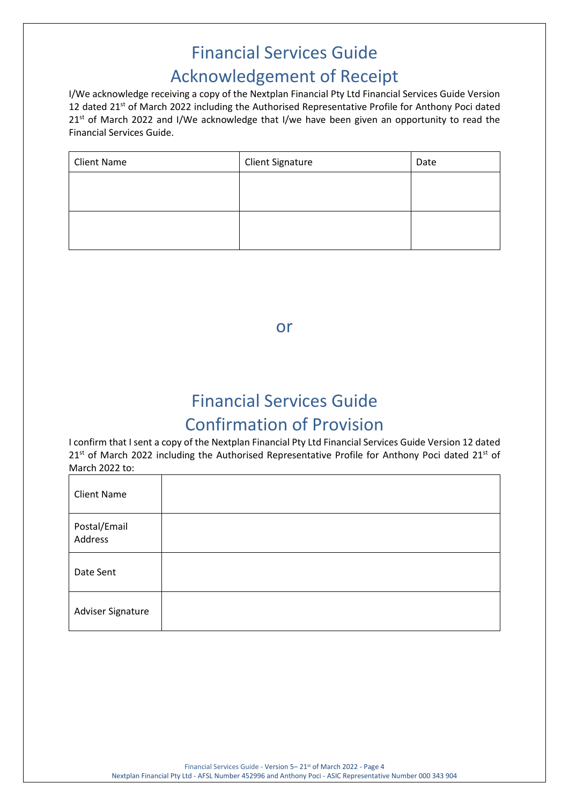# Financial Services Guide Acknowledgement of Receipt

I/We acknowledge receiving a copy of the Nextplan Financial Pty Ltd Financial Services Guide Version 12 dated 21<sup>st</sup> of March 2022 including the Authorised Representative Profile for Anthony Poci dated 21<sup>st</sup> of March 2022 and I/We acknowledge that I/we have been given an opportunity to read the Financial Services Guide.

| <b>Client Name</b> | <b>Client Signature</b> | Date |
|--------------------|-------------------------|------|
|                    |                         |      |
|                    |                         |      |
|                    |                         |      |
|                    |                         |      |

or

# Financial Services Guide Confirmation of Provision

I confirm that I sent a copy of the Nextplan Financial Pty Ltd Financial Services Guide Version 12 dated 21<sup>st</sup> of March 2022 including the Authorised Representative Profile for Anthony Poci dated 21<sup>st</sup> of March 2022 to:

| <b>Client Name</b>      |  |
|-------------------------|--|
| Postal/Email<br>Address |  |
| Date Sent               |  |
| Adviser Signature       |  |